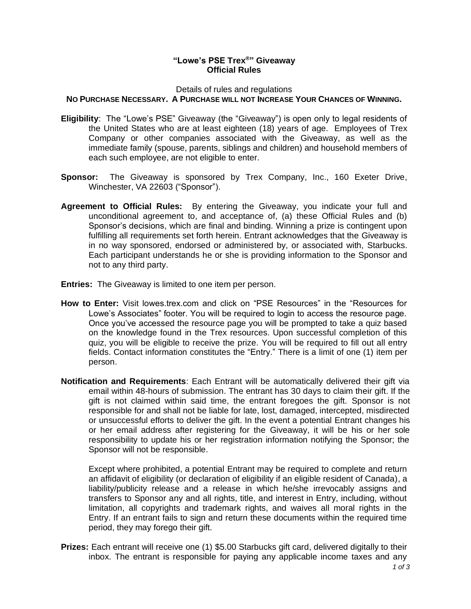## **"Lowe's PSE Trex®" Giveaway Official Rules**

Details of rules and regulations

## **NO PURCHASE NECESSARY. A PURCHASE WILL NOT INCREASE YOUR CHANCES OF WINNING.**

- **Eligibility**: The "Lowe's PSE" Giveaway (the "Giveaway") is open only to legal residents of the United States who are at least eighteen (18) years of age. Employees of Trex Company or other companies associated with the Giveaway, as well as the immediate family (spouse, parents, siblings and children) and household members of each such employee, are not eligible to enter.
- **Sponsor:** The Giveaway is sponsored by Trex Company, Inc., 160 Exeter Drive, Winchester, VA 22603 ("Sponsor").
- **Agreement to Official Rules:** By entering the Giveaway, you indicate your full and unconditional agreement to, and acceptance of, (a) these Official Rules and (b) Sponsor's decisions, which are final and binding. Winning a prize is contingent upon fulfilling all requirements set forth herein. Entrant acknowledges that the Giveaway is in no way sponsored, endorsed or administered by, or associated with, Starbucks. Each participant understands he or she is providing information to the Sponsor and not to any third party.
- **Entries:** The Giveaway is limited to one item per person.
- **How to Enter:** Visit lowes.trex.com and click on "PSE Resources" in the "Resources for Lowe's Associates" footer. You will be required to login to access the resource page. Once you've accessed the resource page you will be prompted to take a quiz based on the knowledge found in the Trex resources. Upon successful completion of this quiz, you will be eligible to receive the prize. You will be required to fill out all entry fields. Contact information constitutes the "Entry." There is a limit of one (1) item per person.
- **Notification and Requirements**: Each Entrant will be automatically delivered their gift via email within 48-hours of submission. The entrant has 30 days to claim their gift. If the gift is not claimed within said time, the entrant foregoes the gift. Sponsor is not responsible for and shall not be liable for late, lost, damaged, intercepted, misdirected or unsuccessful efforts to deliver the gift. In the event a potential Entrant changes his or her email address after registering for the Giveaway, it will be his or her sole responsibility to update his or her registration information notifying the Sponsor; the Sponsor will not be responsible.

Except where prohibited, a potential Entrant may be required to complete and return an affidavit of eligibility (or declaration of eligibility if an eligible resident of Canada), a liability/publicity release and a release in which he/she irrevocably assigns and transfers to Sponsor any and all rights, title, and interest in Entry, including, without limitation, all copyrights and trademark rights, and waives all moral rights in the Entry. If an entrant fails to sign and return these documents within the required time period, they may forego their gift.

**Prizes:** Each entrant will receive one (1) \$5.00 Starbucks gift card, delivered digitally to their inbox. The entrant is responsible for paying any applicable income taxes and any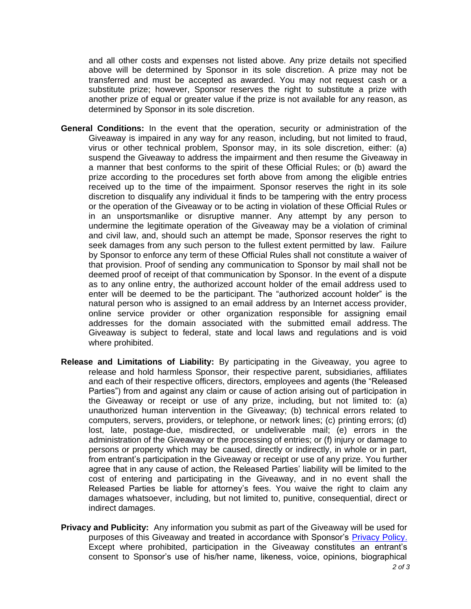and all other costs and expenses not listed above. Any prize details not specified above will be determined by Sponsor in its sole discretion. A prize may not be transferred and must be accepted as awarded. You may not request cash or a substitute prize; however, Sponsor reserves the right to substitute a prize with another prize of equal or greater value if the prize is not available for any reason, as determined by Sponsor in its sole discretion.

- **General Conditions:** In the event that the operation, security or administration of the Giveaway is impaired in any way for any reason, including, but not limited to fraud, virus or other technical problem, Sponsor may, in its sole discretion, either: (a) suspend the Giveaway to address the impairment and then resume the Giveaway in a manner that best conforms to the spirit of these Official Rules; or (b) award the prize according to the procedures set forth above from among the eligible entries received up to the time of the impairment. Sponsor reserves the right in its sole discretion to disqualify any individual it finds to be tampering with the entry process or the operation of the Giveaway or to be acting in violation of these Official Rules or in an unsportsmanlike or disruptive manner. Any attempt by any person to undermine the legitimate operation of the Giveaway may be a violation of criminal and civil law, and, should such an attempt be made, Sponsor reserves the right to seek damages from any such person to the fullest extent permitted by law. Failure by Sponsor to enforce any term of these Official Rules shall not constitute a waiver of that provision. Proof of sending any communication to Sponsor by mail shall not be deemed proof of receipt of that communication by Sponsor. In the event of a dispute as to any online entry, the authorized account holder of the email address used to enter will be deemed to be the participant. The "authorized account holder" is the natural person who is assigned to an email address by an Internet access provider, online service provider or other organization responsible for assigning email addresses for the domain associated with the submitted email address. The Giveaway is subject to federal, state and local laws and regulations and is void where prohibited.
- **Release and Limitations of Liability:** By participating in the Giveaway, you agree to release and hold harmless Sponsor, their respective parent, subsidiaries, affiliates and each of their respective officers, directors, employees and agents (the "Released Parties") from and against any claim or cause of action arising out of participation in the Giveaway or receipt or use of any prize, including, but not limited to: (a) unauthorized human intervention in the Giveaway; (b) technical errors related to computers, servers, providers, or telephone, or network lines; (c) printing errors; (d) lost, late, postage-due, misdirected, or undeliverable mail; (e) errors in the administration of the Giveaway or the processing of entries; or (f) injury or damage to persons or property which may be caused, directly or indirectly, in whole or in part, from entrant's participation in the Giveaway or receipt or use of any prize. You further agree that in any cause of action, the Released Parties' liability will be limited to the cost of entering and participating in the Giveaway, and in no event shall the Released Parties be liable for attorney's fees. You waive the right to claim any damages whatsoever, including, but not limited to, punitive, consequential, direct or indirect damages.
- **Privacy and Publicity:** Any information you submit as part of the Giveaway will be used for purposes of this Giveaway and treated in accordance with Sponsor's [Privacy Policy.](https://www.trex.com/footer/privacy-policy/) Except where prohibited, participation in the Giveaway constitutes an entrant's consent to Sponsor's use of his/her name, likeness, voice, opinions, biographical